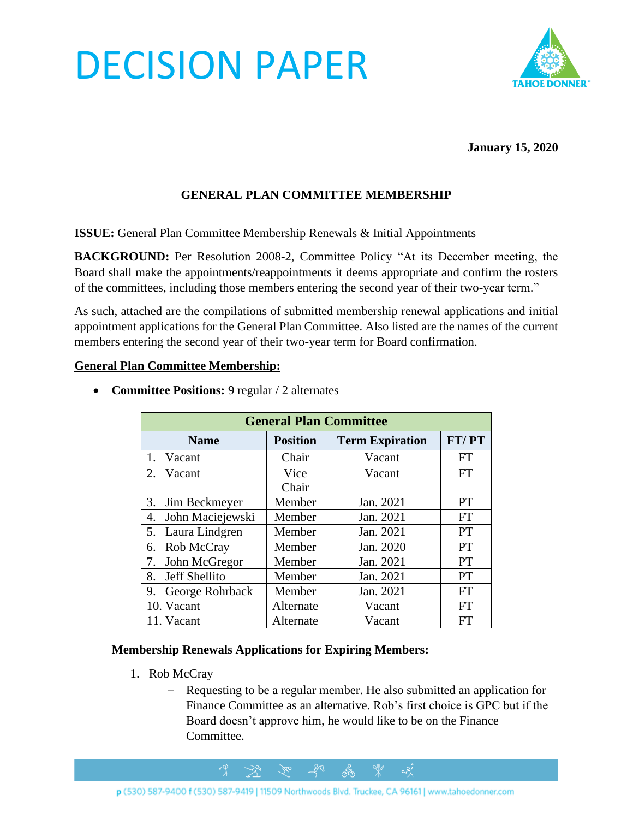# DECISION PAPER



**January 15, 2020**

### **GENERAL PLAN COMMITTEE MEMBERSHIP**

**ISSUE:** General Plan Committee Membership Renewals & Initial Appointments

**BACKGROUND:** Per Resolution 2008-2, Committee Policy "At its December meeting, the Board shall make the appointments/reappointments it deems appropriate and confirm the rosters of the committees, including those members entering the second year of their two-year term."

As such, attached are the compilations of submitted membership renewal applications and initial appointment applications for the General Plan Committee. Also listed are the names of the current members entering the second year of their two-year term for Board confirmation.

#### **General Plan Committee Membership:**

| <b>General Plan Committee</b> |                 |                        |           |
|-------------------------------|-----------------|------------------------|-----------|
| <b>Name</b>                   | <b>Position</b> | <b>Term Expiration</b> | FT/PT     |
| $\mathbf{1}$ .<br>Vacant      | Chair           | Vacant                 | FT        |
| $2^{\circ}$<br>Vacant         | Vice            | Vacant                 | FT        |
|                               | Chair           |                        |           |
| 3. Jim Beckmeyer              | Member          | Jan. 2021              | <b>PT</b> |
| John Maciejewski<br>4.        | Member          | Jan. 2021              | FT        |
| 5. Laura Lindgren             | Member          | Jan. 2021              | <b>PT</b> |
| Rob McCray<br>6.              | Member          | Jan. 2020              | PT        |
| John McGregor<br>7.           | Member          | Jan. 2021              | <b>PT</b> |
| 8. Jeff Shellito              | Member          | Jan. 2021              | PT        |
| 9. George Rohrback            | Member          | Jan. 2021              | <b>FT</b> |
| 10. Vacant                    | Alternate       | Vacant                 | FT        |
| 11. Vacant                    | Alternate       | Vacant                 | FT        |

• **Committee Positions:** 9 regular / 2 alternates

#### **Membership Renewals Applications for Expiring Members:**

- 1. Rob McCray
	- − Requesting to be a regular member. He also submitted an application for Finance Committee as an alternative. Rob's first choice is GPC but if the Board doesn't approve him, he would like to be on the Finance Committee.

ᢞ

 $\alpha$ 

 $281$ 

 $\mathcal{R}^{\circ}$